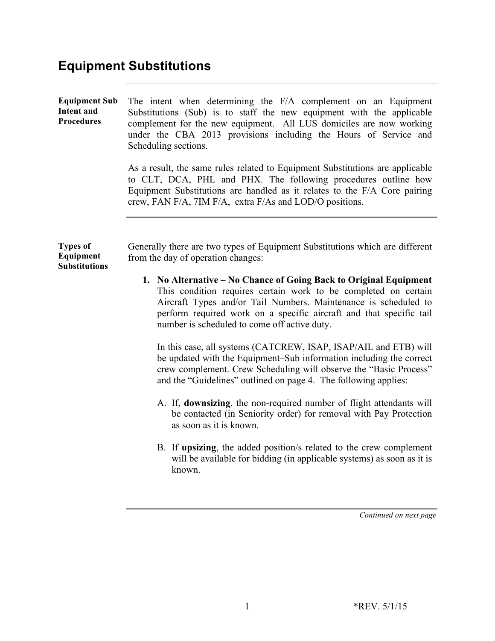# **Equipment Substitutions**

| <b>Equipment Sub</b><br><b>Intent and</b><br><b>Procedures</b> | The intent when determining the F/A complement on an Equipment<br>Substitutions (Sub) is to staff the new equipment with the applicable<br>complement for the new equipment. All LUS domiciles are now working<br>under the CBA 2013 provisions including the Hours of Service and<br>Scheduling sections.<br>As a result, the same rules related to Equipment Substitutions are applicable<br>to CLT, DCA, PHL and PHX. The following procedures outline how<br>Equipment Substitutions are handled as it relates to the F/A Core pairing<br>crew, FAN F/A, 7IM F/A, extra F/As and LOD/O positions.                                                                                                                                                                                                                                                                                                                                                                                                                                                                      |  |  |  |
|----------------------------------------------------------------|----------------------------------------------------------------------------------------------------------------------------------------------------------------------------------------------------------------------------------------------------------------------------------------------------------------------------------------------------------------------------------------------------------------------------------------------------------------------------------------------------------------------------------------------------------------------------------------------------------------------------------------------------------------------------------------------------------------------------------------------------------------------------------------------------------------------------------------------------------------------------------------------------------------------------------------------------------------------------------------------------------------------------------------------------------------------------|--|--|--|
| <b>Types of</b><br>Equipment<br><b>Substitutions</b>           | Generally there are two types of Equipment Substitutions which are different<br>from the day of operation changes:<br>1. No Alternative – No Chance of Going Back to Original Equipment<br>This condition requires certain work to be completed on certain<br>Aircraft Types and/or Tail Numbers. Maintenance is scheduled to<br>perform required work on a specific aircraft and that specific tail<br>number is scheduled to come off active duty.<br>In this case, all systems (CATCREW, ISAP, ISAP/AIL and ETB) will<br>be updated with the Equipment–Sub information including the correct<br>crew complement. Crew Scheduling will observe the "Basic Process"<br>and the "Guidelines" outlined on page 4. The following applies:<br>A. If, downsizing, the non-required number of flight attendants will<br>be contacted (in Seniority order) for removal with Pay Protection<br>as soon as it is known.<br>B. If upsizing, the added position/s related to the crew complement<br>will be available for bidding (in applicable systems) as soon as it is<br>known. |  |  |  |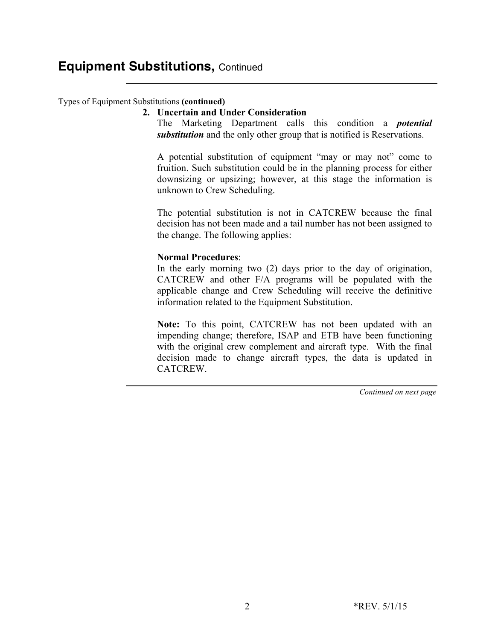#### Types of Equipment Substitutions **(continued)**

#### **2. Uncertain and Under Consideration**

The Marketing Department calls this condition a *potential substitution* and the only other group that is notified is Reservations.

A potential substitution of equipment "may or may not" come to fruition. Such substitution could be in the planning process for either downsizing or upsizing; however, at this stage the information is unknown to Crew Scheduling.

The potential substitution is not in CATCREW because the final decision has not been made and a tail number has not been assigned to the change. The following applies:

#### **Normal Procedures**:

In the early morning two (2) days prior to the day of origination, CATCREW and other F/A programs will be populated with the applicable change and Crew Scheduling will receive the definitive information related to the Equipment Substitution.

**Note:** To this point, CATCREW has not been updated with an impending change; therefore, ISAP and ETB have been functioning with the original crew complement and aircraft type. With the final decision made to change aircraft types, the data is updated in CATCREW.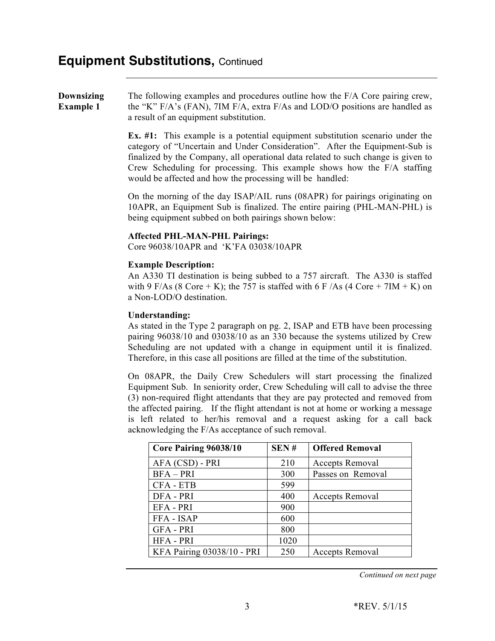#### **Downsizing Example 1** The following examples and procedures outline how the F/A Core pairing crew, the "K" F/A's (FAN), 7IM F/A, extra F/As and LOD/O positions are handled as a result of an equipment substitution.

**Ex. #1:** This example is a potential equipment substitution scenario under the category of "Uncertain and Under Consideration". After the Equipment-Sub is finalized by the Company, all operational data related to such change is given to Crew Scheduling for processing. This example shows how the F/A staffing would be affected and how the processing will be handled:

On the morning of the day ISAP/AIL runs (08APR) for pairings originating on 10APR, an Equipment Sub is finalized. The entire pairing (PHL-MAN-PHL) is being equipment subbed on both pairings shown below:

#### **Affected PHL-MAN-PHL Pairings:**

Core 96038/10APR and 'K'FA 03038/10APR

#### **Example Description:**

An A330 TI destination is being subbed to a 757 aircraft. The A330 is staffed with 9 F/As (8 Core + K); the 757 is staffed with 6 F/As (4 Core + 7IM + K) on a Non-LOD/O destination.

#### **Understanding:**

As stated in the Type 2 paragraph on pg. 2, ISAP and ETB have been processing pairing 96038/10 and 03038/10 as an 330 because the systems utilized by Crew Scheduling are not updated with a change in equipment until it is finalized. Therefore, in this case all positions are filled at the time of the substitution.

On 08APR, the Daily Crew Schedulers will start processing the finalized Equipment Sub. In seniority order, Crew Scheduling will call to advise the three (3) non-required flight attendants that they are pay protected and removed from the affected pairing. If the flight attendant is not at home or working a message is left related to her/his removal and a request asking for a call back acknowledging the F/As acceptance of such removal.

| Core Pairing 96038/10      | SEN# | <b>Offered Removal</b> |
|----------------------------|------|------------------------|
| AFA (CSD) - PRI            | 210  | Accepts Removal        |
| $BFA - PRI$                | 300  | Passes on Removal      |
| CFA - ETB                  | 599  |                        |
| DFA - PRI                  | 400  | <b>Accepts Removal</b> |
| EFA - PRI                  | 900  |                        |
| FFA - ISAP                 | 600  |                        |
| <b>GFA - PRI</b>           | 800  |                        |
| <b>HFA - PRI</b>           | 1020 |                        |
| KFA Pairing 03038/10 - PRI | 250  | <b>Accepts Removal</b> |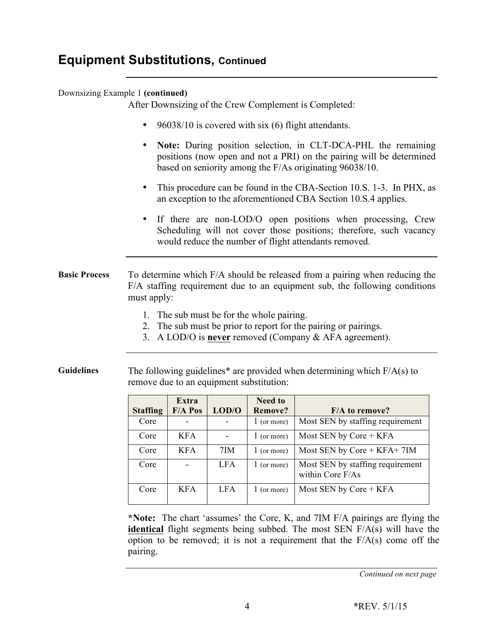### Downsizing Example 1 **(continued)**

After Downsizing of the Crew Complement is Completed:

- 96038/10 is covered with six (6) flight attendants.
- **Note:** During position selection, in CLT-DCA-PHL the remaining positions (now open and not a PRI) on the pairing will be determined based on seniority among the F/As originating 96038/10.
- This procedure can be found in the CBA-Section 10.S. 1-3. In PHX, as an exception to the aforementioned CBA Section 10.S.4 applies.
- If there are non-LOD/O open positions when processing, Crew Scheduling will not cover those positions; therefore, such vacancy would reduce the number of flight attendants removed.

**Basic Process** To determine which F/A should be released from a pairing when reducing the F/A staffing requirement due to an equipment sub, the following conditions must apply:

- 1. The sub must be for the whole pairing.
- 2. The sub must be prior to report for the pairing or pairings.
- 3. A LOD/O is **never** removed (Company & AFA agreement).

**Guidelines** The following guidelines\* are provided when determining which F/A(s) to remove due to an equipment substitution:

|                 | Extra          |            | <b>Need to</b> |                                                      |
|-----------------|----------------|------------|----------------|------------------------------------------------------|
| <b>Staffing</b> | <b>F/A Pos</b> | LOD/O      | <b>Remove?</b> | <b>F/A</b> to remove?                                |
| Core            |                |            | $1$ (or more)  | Most SEN by staffing requirement                     |
| Core            | <b>KFA</b>     |            | 1 (or more)    | Most SEN by Core $+$ KFA                             |
| Core            | <b>KFA</b>     | 7IM        | $1$ (or more)  | Most SEN by Core $+$ KFA $+$ 7IM                     |
| Core            |                | <b>LFA</b> | 1 (or more)    | Most SEN by staffing requirement<br>within Core F/As |
| Core            | <b>KFA</b>     | LFA.       | 1 (or more)    | Most SEN by $Core + KFA$                             |

**\*Note:** The chart 'assumes' the Core, K, and 7IM F/A pairings are flying the **identical** flight segments being subbed. The most SEN F/A(s) will have the option to be removed; it is not a requirement that the  $F/A(s)$  come off the pairing.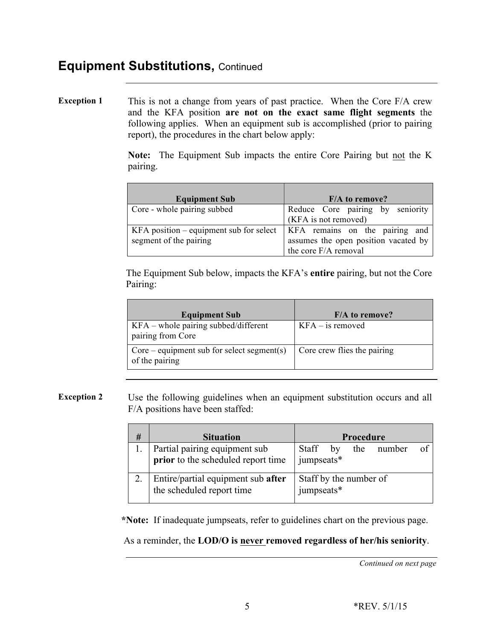**Exception 1** This is not a change from years of past practice. When the Core F/A crew and the KFA position **are not on the exact same flight segments** the following applies. When an equipment sub is accomplished (prior to pairing report), the procedures in the chart below apply:

> **Note:** The Equipment Sub impacts the entire Core Pairing but not the K pairing.

| <b>Equipment Sub</b>                                                | $F/A$ to remove?                                                                               |
|---------------------------------------------------------------------|------------------------------------------------------------------------------------------------|
| Core - whole pairing subbed                                         | Reduce Core pairing by seniority<br>(KFA is not removed)                                       |
| $KFA$ position – equipment sub for select<br>segment of the pairing | KFA remains on the pairing and<br>assumes the open position vacated by<br>the core F/A removal |

The Equipment Sub below, impacts the KFA's **entire** pairing, but not the Core Pairing:

| <b>Equipment Sub</b>                                           | $F/A$ to remove?            |
|----------------------------------------------------------------|-----------------------------|
| KFA – whole pairing subbed/different<br>pairing from Core      | $KFA$ – is removed          |
| $Core$ – equipment sub for select segment(s)<br>of the pairing | Core crew flies the pairing |

**Exception 2** Use the following guidelines when an equipment substitution occurs and all F/A positions have been staffed:

| # | <b>Situation</b>                                                | Procedure                            |  |  |
|---|-----------------------------------------------------------------|--------------------------------------|--|--|
|   | Partial pairing equipment sub                                   | Staff<br>the number<br>by            |  |  |
|   | prior to the scheduled report time                              | jumpseats*                           |  |  |
|   | Entire/partial equipment sub after<br>the scheduled report time | Staff by the number of<br>jumpseats* |  |  |

**\*Note:** If inadequate jumpseats, refer to guidelines chart on the previous page.

As a reminder, the **LOD/O is never removed regardless of her/his seniority**.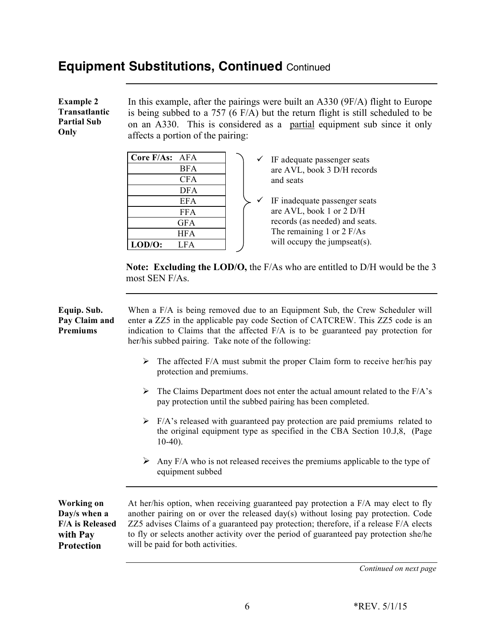## **Equipment Substitutions, Continued** Continued

 DFA EFA FFA **GFA** HFA

**LOD/O:** LFA

| <b>Example 2</b>                            | In this example, after the pairings were built an $A330$ ( $9F/A$ ) flight to Europe                                                                                                            |  |  |  |
|---------------------------------------------|-------------------------------------------------------------------------------------------------------------------------------------------------------------------------------------------------|--|--|--|
| Transatlantic<br><b>Partial Sub</b><br>Only | is being subbed to a 757 (6 F/A) but the return flight is still scheduled to be<br>on an A330. This is considered as a partial equipment sub since it only<br>affects a portion of the pairing: |  |  |  |
|                                             | Core F/As: AFA<br>IF adequate passenger seats<br>$\checkmark$<br><b>BFA</b><br>are AVL, book 3 D/H records                                                                                      |  |  |  |
|                                             | <b>CFA</b><br>and seats                                                                                                                                                                         |  |  |  |

 $\checkmark$  IF inadequate passenger seats are AVL, book 1 or  $2$  D/H records (as needed) and seats. The remaining 1 or 2 F/As will occupy the jumpseat(s).

**Note: Excluding the LOD/O,** the F/As who are entitled to D/H would be the 3 most SEN F/As.

| Equip. Sub.<br>Pay Claim and<br><b>Premiums</b>                                              | When a F/A is being removed due to an Equipment Sub, the Crew Scheduler will<br>enter a ZZ5 in the applicable pay code Section of CATCREW. This ZZ5 code is an<br>indication to Claims that the affected F/A is to be guaranteed pay protection for<br>her/his subbed pairing. Take note of the following:                                                                                       |  |  |  |
|----------------------------------------------------------------------------------------------|--------------------------------------------------------------------------------------------------------------------------------------------------------------------------------------------------------------------------------------------------------------------------------------------------------------------------------------------------------------------------------------------------|--|--|--|
|                                                                                              | $\triangleright$ The affected F/A must submit the proper Claim form to receive her/his pay<br>protection and premiums.                                                                                                                                                                                                                                                                           |  |  |  |
|                                                                                              | The Claims Department does not enter the actual amount related to the F/A's<br>➤<br>pay protection until the subbed pairing has been completed.                                                                                                                                                                                                                                                  |  |  |  |
|                                                                                              | $\triangleright$ F/A's released with guaranteed pay protection are paid premiums related to<br>the original equipment type as specified in the CBA Section 10.J,8, (Page<br>$10-40$ ).                                                                                                                                                                                                           |  |  |  |
|                                                                                              | $\triangleright$ Any F/A who is not released receives the premiums applicable to the type of<br>equipment subbed                                                                                                                                                                                                                                                                                 |  |  |  |
| <b>Working on</b><br>Day/s when a<br><b>F/A</b> is Released<br>with Pay<br><b>Protection</b> | At her/his option, when receiving guaranteed pay protection a F/A may elect to fly<br>another pairing on or over the released day(s) without losing pay protection. Code<br>ZZ5 advises Claims of a guaranteed pay protection; therefore, if a release F/A elects<br>to fly or selects another activity over the period of guaranteed pay protection she/he<br>will be paid for both activities. |  |  |  |
|                                                                                              | Continued on next page                                                                                                                                                                                                                                                                                                                                                                           |  |  |  |